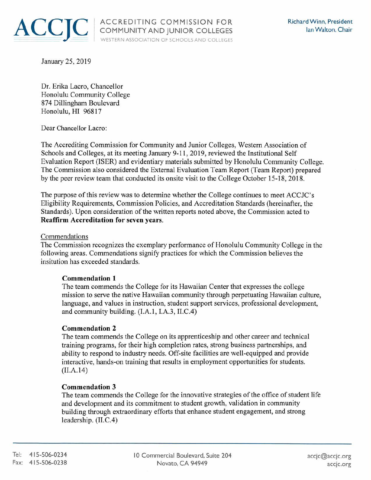

January 25, 2019

Dr. Erika Lacro, Chancellor Honolulu Community College 874 Dillingham Boulevard Honolulu, HI 96817

Dear Chancellor Lacro:

The Accrediting Commission for Community and Junior Colleges, Western Association of Schools and Colleges, at its meeting January 9-11, 2019, reviewed the Institutional Self Evaluation Report (ISER) and evidentiary materials submitted by Honolulu Community College. The Commission also considered the External Evaluation Team Report (Team Report) prepared by the peer review team that conducted its onsite visit to the College October 15-18, 2018.

The purpose of this review was to determine whether the College continues to meet ACCJC's Eligibility Requirements, Commission Policies, and Accreditation Standards (hereinafter, the Standards). Upon consideration of the written reports noted above, the Commission acted to **Reaffirm Accreditation for seven years.** 

#### Commendations

The Commission recognizes the exemplary performance of Honolulu Community College in the following areas. Commendations signify practices for which the Commission believes the insitution has exceeded standards.

## **Commendation 1**

The team commends the College for its Hawaiian Center that expresses the college mission to serve the native Hawaiian community through perpetuating Hawaiian culture, language, and values in instruction, student support services, professional development, and community building. (I.A.I, I.A.3, II.C.4)

## **Commendation 2**

The team commends the College on its apprenticeship and other career and technical training programs, for their high completion rates, strong business partnerships, and ability to respond to industry needs. Off-site facilities are well-equipped and provide interactive, hands-on training that results in employment opportunities for students. (II.A.14)

#### **Commendation 3**

The team commends the College for the innovative strategies of the office of student life and development and its commitment to student growth, validation in community building through extraordinary efforts that enhance student engagement, and strong leadership. (II.C.4)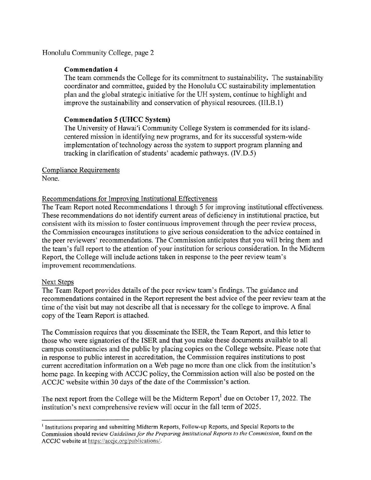Honolulu Community College, page 2

# **Commendation 4**

The team commends the College for its commitment to sustainability. The sustainability coordinator and committee, guided by the Honolulu CC sustainability implementation plan and the global strategic initiative for the UH system, continue to highlight and improve the sustainability and conservation of physical resources. (III.B.1)

# **Commendation 5 (UHCC System)**

The University of Hawai'i Community College System is commended for its islandcentered mission in identifying new programs, and for its successful system-wide implementation of technology across the system to support program planning and tracking in clarification of students' academic pathways. (IV.D.5)

# Compliance Requirements

None.

## Recommendations for Improving Institutional Effectiveness

The Team Report noted Recommendations 1 through 5 for improving institutional effectiveness. These recommendations do not identify current areas of deficiency in institutional practice, but consistent with its mission to foster continuous improvement through the peer review process, the Commission encourages institutions to give serious consideration to the advice contained in the peer reviewers' recommendations. The Commission anticipates that you will bring them and the team's full report to the attention of your institution for serious consideration. In the Midterm Report, the College will include actions taken in response to the peer review team's improvement recommendations.

## Next Steps

The Team Report provides details of the peer review team's findings. The guidance and recommendations contained in the Report represent the best advice of the peer review team at the time of the visit but may not describe all that is necessary for the college to improve. A final copy of the Team Report is attached.

The Commission requires that you disseminate the ISER, the Team Report, and this letter to those who were signatories of the ISER and that you make these documents available to all campus constituencies and the public by placing copies on the College website. Please note that in response to public interest in accreditation, the Commission requires institutions to post current accreditation information on a Web page no more than one click from the institution's home page. In keeping with ACCJC policy, the Commission action will also be posted on the ACCJC website within 30 days of the date of the Commission's action.

The next report from the College will be the Midterm Report<sup>1</sup> due on October 17, 2022. The institution's next comprehensive review will occur in the fall term of 2025.

<sup>1</sup>Institutions preparing and submitting Midterm Reports, Follow-up Reports, and Special Reports to the Commission should review *Guidelines for the Preparing Institutional Reports to the Commission*, found on the ACCJC website at https://accjc [.org/publicarions](https://accjc.org/publicarions)/.